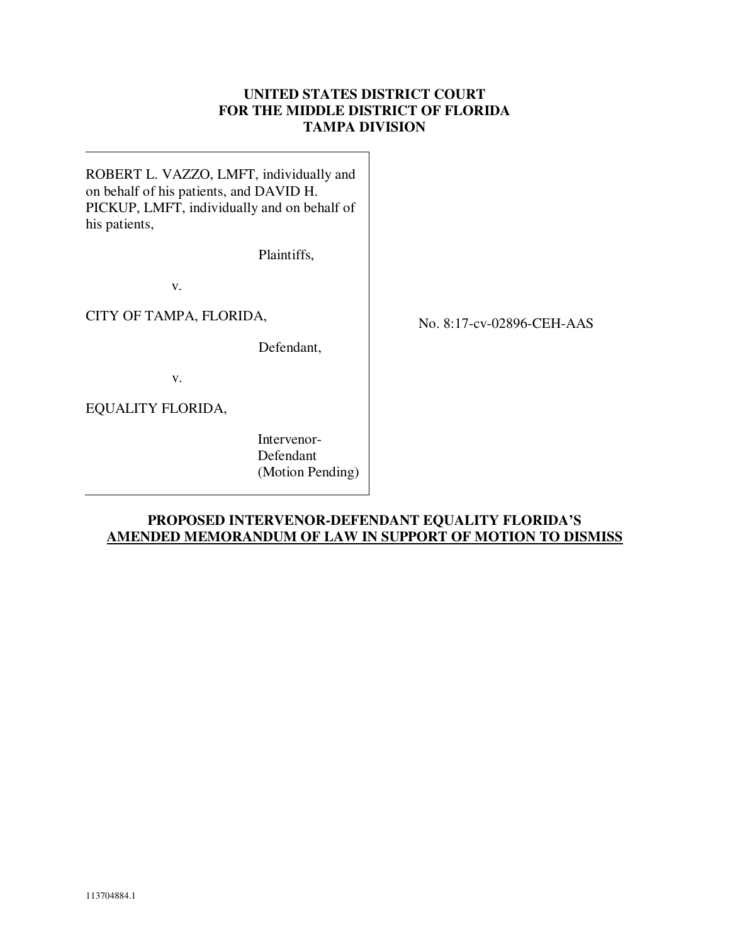# **UNITED STATES DISTRICT COURT FOR THE MIDDLE DISTRICT OF FLORIDA TAMPA DIVISION**

ROBERT L. VAZZO, LMFT, individually and on behalf of his patients, and DAVID H. PICKUP, LMFT, individually and on behalf of his patients,

Plaintiffs,

v.

CITY OF TAMPA, FLORIDA,

Defendant,

v.

EQUALITY FLORIDA,

 Intervenor- Defendant (Motion Pending) No. 8:17-cv-02896-CEH-AAS

# **PROPOSED INTERVENOR-DEFENDANT EQUALITY FLORIDA'S AMENDED MEMORANDUM OF LAW IN SUPPORT OF MOTION TO DISMISS**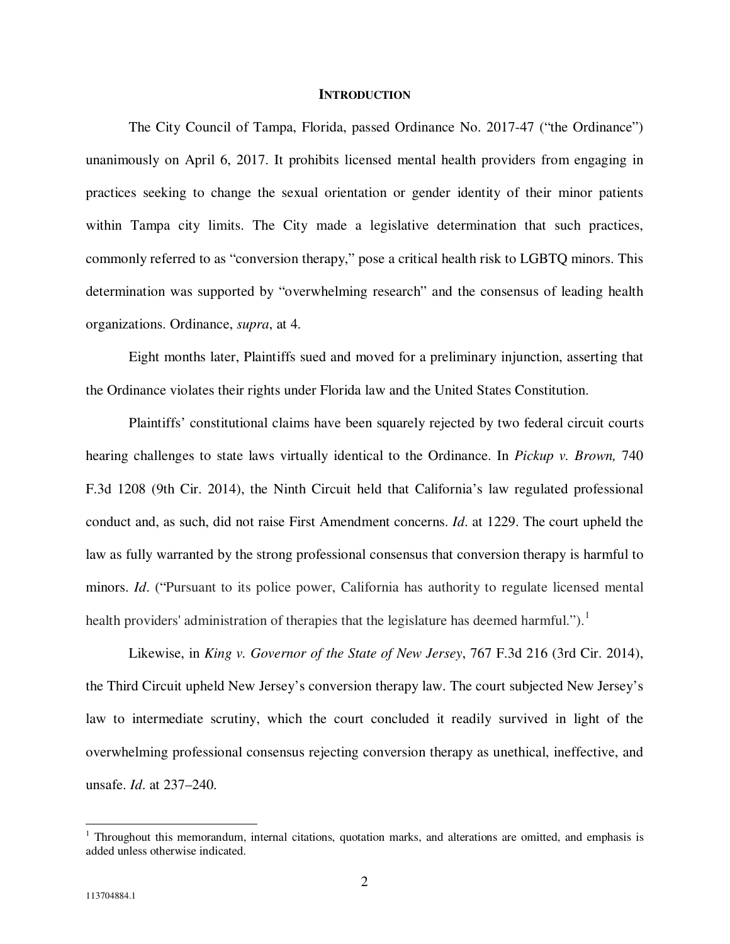#### **INTRODUCTION**

 The City Council of Tampa, Florida, passed Ordinance No. 2017-47 ("the Ordinance") unanimously on April 6, 2017. It prohibits licensed mental health providers from engaging in practices seeking to change the sexual orientation or gender identity of their minor patients within Tampa city limits. The City made a legislative determination that such practices, commonly referred to as "conversion therapy," pose a critical health risk to LGBTQ minors. This determination was supported by "overwhelming research" and the consensus of leading health organizations. Ordinance, *supra*, at 4.

 Eight months later, Plaintiffs sued and moved for a preliminary injunction, asserting that the Ordinance violates their rights under Florida law and the United States Constitution.

 Plaintiffs' constitutional claims have been squarely rejected by two federal circuit courts hearing challenges to state laws virtually identical to the Ordinance. In *Pickup v. Brown,* 740 F.3d 1208 (9th Cir. 2014), the Ninth Circuit held that California's law regulated professional conduct and, as such, did not raise First Amendment concerns. *Id*. at 1229. The court upheld the law as fully warranted by the strong professional consensus that conversion therapy is harmful to minors. *Id*. ("Pursuant to its police power, California has authority to regulate licensed mental health providers' administration of therapies that the legislature has deemed harmful.").<sup>1</sup>

Likewise, in *King v. Governor of the State of New Jersey*, 767 F.3d 216 (3rd Cir. 2014), the Third Circuit upheld New Jersey's conversion therapy law. The court subjected New Jersey's law to intermediate scrutiny, which the court concluded it readily survived in light of the overwhelming professional consensus rejecting conversion therapy as unethical, ineffective, and unsafe. *Id*. at 237–240.

<sup>&</sup>lt;sup>1</sup> Throughout this memorandum, internal citations, quotation marks, and alterations are omitted, and emphasis is added unless otherwise indicated.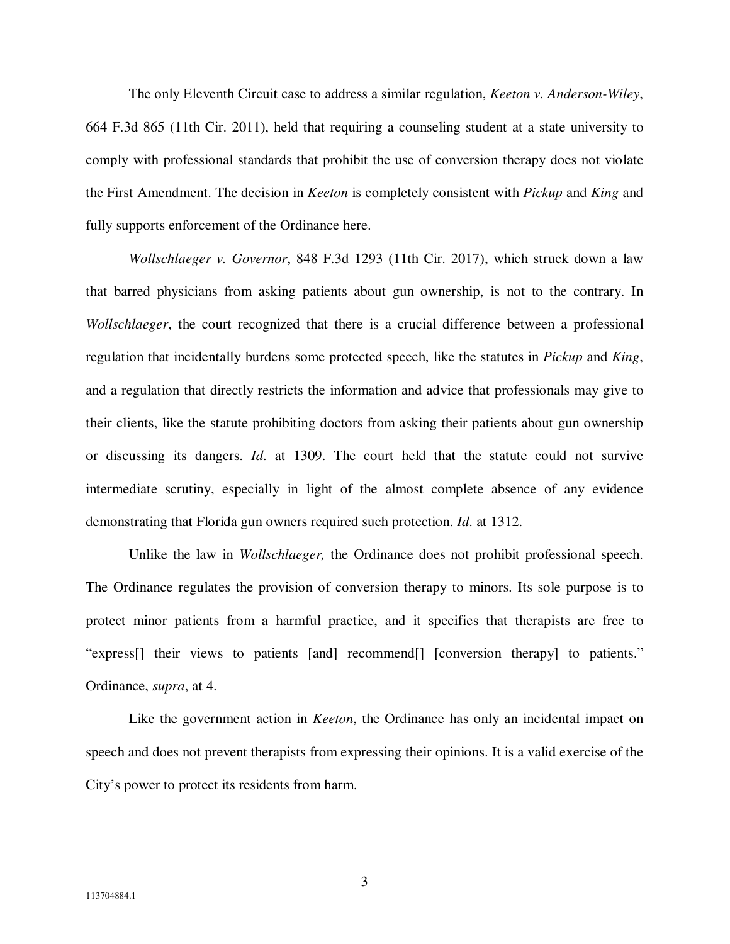The only Eleventh Circuit case to address a similar regulation, *Keeton v. Anderson-Wiley*, 664 F.3d 865 (11th Cir. 2011), held that requiring a counseling student at a state university to comply with professional standards that prohibit the use of conversion therapy does not violate the First Amendment. The decision in *Keeton* is completely consistent with *Pickup* and *King* and fully supports enforcement of the Ordinance here.

*Wollschlaeger v. Governor*, 848 F.3d 1293 (11th Cir. 2017), which struck down a law that barred physicians from asking patients about gun ownership, is not to the contrary. In *Wollschlaeger*, the court recognized that there is a crucial difference between a professional regulation that incidentally burdens some protected speech, like the statutes in *Pickup* and *King*, and a regulation that directly restricts the information and advice that professionals may give to their clients, like the statute prohibiting doctors from asking their patients about gun ownership or discussing its dangers. *Id*. at 1309. The court held that the statute could not survive intermediate scrutiny, especially in light of the almost complete absence of any evidence demonstrating that Florida gun owners required such protection. *Id*. at 1312.

Unlike the law in *Wollschlaeger,* the Ordinance does not prohibit professional speech. The Ordinance regulates the provision of conversion therapy to minors. Its sole purpose is to protect minor patients from a harmful practice, and it specifies that therapists are free to "express[] their views to patients [and] recommend[] [conversion therapy] to patients." Ordinance, *supra*, at 4.

Like the government action in *Keeton*, the Ordinance has only an incidental impact on speech and does not prevent therapists from expressing their opinions. It is a valid exercise of the City's power to protect its residents from harm.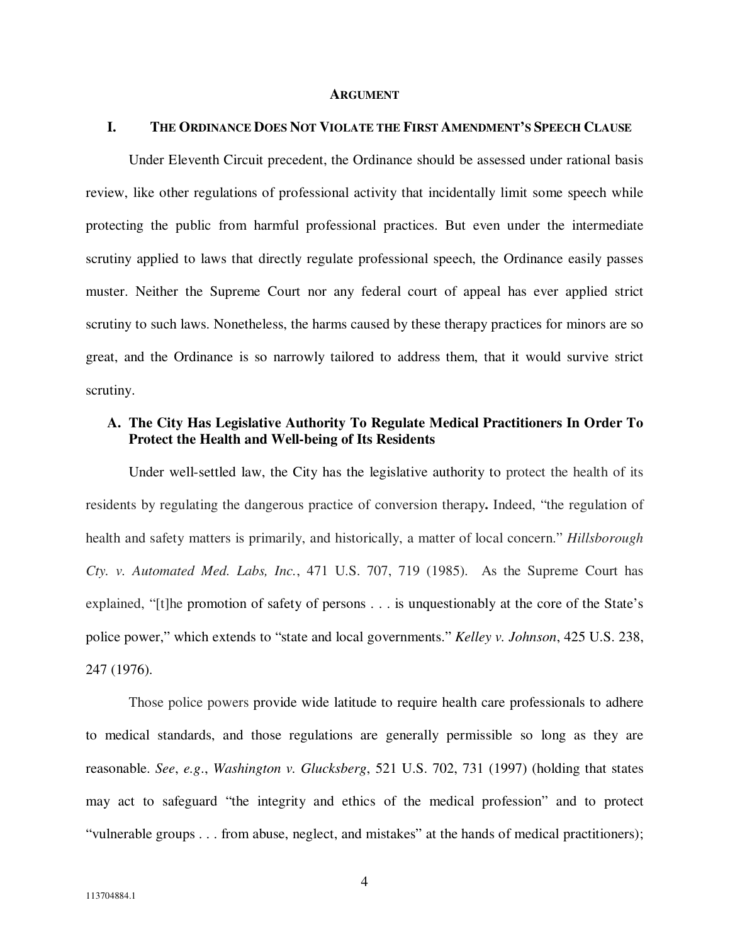#### **ARGUMENT**

## **I. THE ORDINANCE DOES NOT VIOLATE THE FIRST AMENDMENT'S SPEECH CLAUSE**

Under Eleventh Circuit precedent, the Ordinance should be assessed under rational basis review, like other regulations of professional activity that incidentally limit some speech while protecting the public from harmful professional practices. But even under the intermediate scrutiny applied to laws that directly regulate professional speech, the Ordinance easily passes muster. Neither the Supreme Court nor any federal court of appeal has ever applied strict scrutiny to such laws. Nonetheless, the harms caused by these therapy practices for minors are so great, and the Ordinance is so narrowly tailored to address them, that it would survive strict scrutiny.

## **A. The City Has Legislative Authority To Regulate Medical Practitioners In Order To Protect the Health and Well-being of Its Residents**

Under well-settled law, the City has the legislative authority to protect the health of its residents by regulating the dangerous practice of conversion therapy**.** Indeed, "the regulation of health and safety matters is primarily, and historically, a matter of local concern." *Hillsborough Cty. v. Automated Med. Labs, Inc.*, 471 U.S. 707, 719 (1985). As the Supreme Court has explained, "[t]he promotion of safety of persons . . . is unquestionably at the core of the State's police power," which extends to "state and local governments." *Kelley v. Johnson*, 425 U.S. 238, 247 (1976).

Those police powers provide wide latitude to require health care professionals to adhere to medical standards, and those regulations are generally permissible so long as they are reasonable. *See*, *e.g*., *Washington v. Glucksberg*, 521 U.S. 702, 731 (1997) (holding that states may act to safeguard "the integrity and ethics of the medical profession" and to protect "vulnerable groups . . . from abuse, neglect, and mistakes" at the hands of medical practitioners);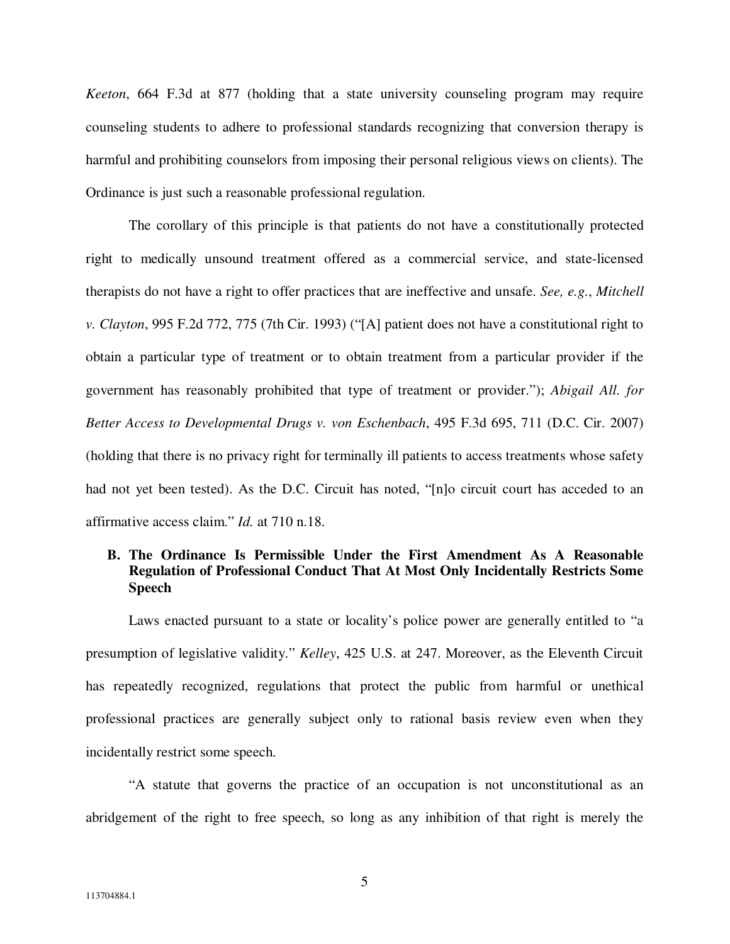*Keeton*, 664 F.3d at 877 (holding that a state university counseling program may require counseling students to adhere to professional standards recognizing that conversion therapy is harmful and prohibiting counselors from imposing their personal religious views on clients). The Ordinance is just such a reasonable professional regulation.

The corollary of this principle is that patients do not have a constitutionally protected right to medically unsound treatment offered as a commercial service, and state-licensed therapists do not have a right to offer practices that are ineffective and unsafe. *See, e.g.*, *Mitchell v. Clayton*, 995 F.2d 772, 775 (7th Cir. 1993) ("[A] patient does not have a constitutional right to obtain a particular type of treatment or to obtain treatment from a particular provider if the government has reasonably prohibited that type of treatment or provider."); *Abigail All. for Better Access to Developmental Drugs v. von Eschenbach*, 495 F.3d 695, 711 (D.C. Cir. 2007) (holding that there is no privacy right for terminally ill patients to access treatments whose safety had not yet been tested). As the D.C. Circuit has noted, "[n]o circuit court has acceded to an affirmative access claim." *Id.* at 710 n.18.

# **B. The Ordinance Is Permissible Under the First Amendment As A Reasonable Regulation of Professional Conduct That At Most Only Incidentally Restricts Some Speech**

Laws enacted pursuant to a state or locality's police power are generally entitled to "a presumption of legislative validity." *Kelley*, 425 U.S. at 247. Moreover, as the Eleventh Circuit has repeatedly recognized, regulations that protect the public from harmful or unethical professional practices are generally subject only to rational basis review even when they incidentally restrict some speech.

"A statute that governs the practice of an occupation is not unconstitutional as an abridgement of the right to free speech, so long as any inhibition of that right is merely the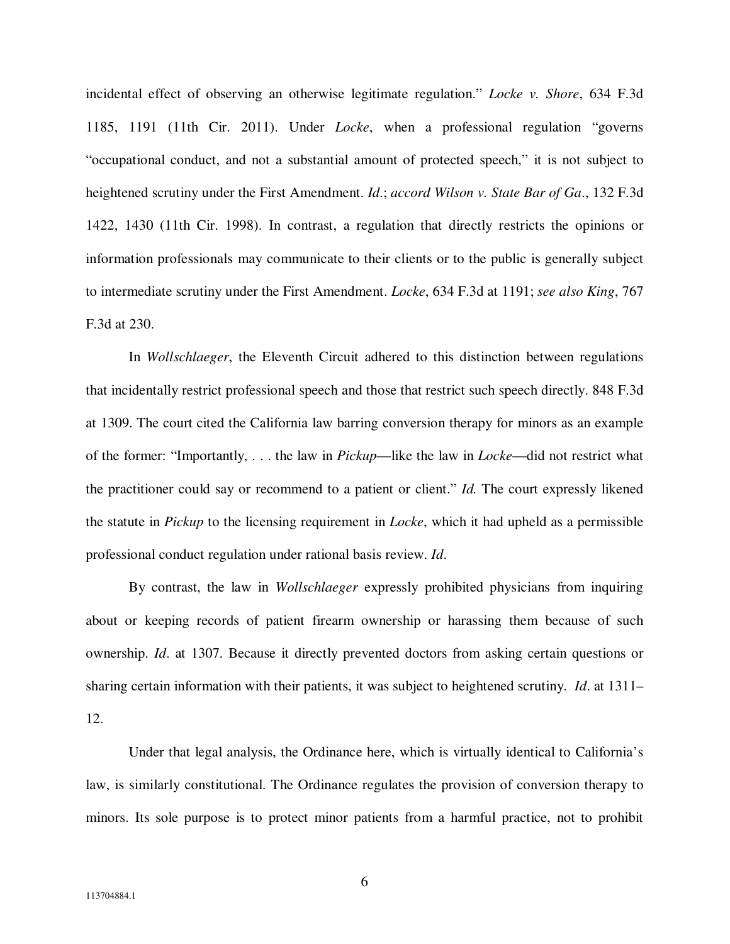incidental effect of observing an otherwise legitimate regulation." *Locke v. Shore*, 634 F.3d 1185, 1191 (11th Cir. 2011). Under *Locke*, when a professional regulation "governs "occupational conduct, and not a substantial amount of protected speech," it is not subject to heightened scrutiny under the First Amendment. *Id*.; *accord Wilson v. State Bar of Ga*., 132 F.3d 1422, 1430 (11th Cir. 1998). In contrast, a regulation that directly restricts the opinions or information professionals may communicate to their clients or to the public is generally subject to intermediate scrutiny under the First Amendment. *Locke*, 634 F.3d at 1191; *see also King*, 767 F.3d at 230.

In *Wollschlaeger*, the Eleventh Circuit adhered to this distinction between regulations that incidentally restrict professional speech and those that restrict such speech directly. 848 F.3d at 1309. The court cited the California law barring conversion therapy for minors as an example of the former: "Importantly, . . . the law in *Pickup*—like the law in *Locke*—did not restrict what the practitioner could say or recommend to a patient or client." *Id.* The court expressly likened the statute in *Pickup* to the licensing requirement in *Locke*, which it had upheld as a permissible professional conduct regulation under rational basis review. *Id*.

By contrast, the law in *Wollschlaeger* expressly prohibited physicians from inquiring about or keeping records of patient firearm ownership or harassing them because of such ownership. *Id*. at 1307. Because it directly prevented doctors from asking certain questions or sharing certain information with their patients, it was subject to heightened scrutiny. *Id*. at 1311– 12.

Under that legal analysis, the Ordinance here, which is virtually identical to California's law, is similarly constitutional. The Ordinance regulates the provision of conversion therapy to minors. Its sole purpose is to protect minor patients from a harmful practice, not to prohibit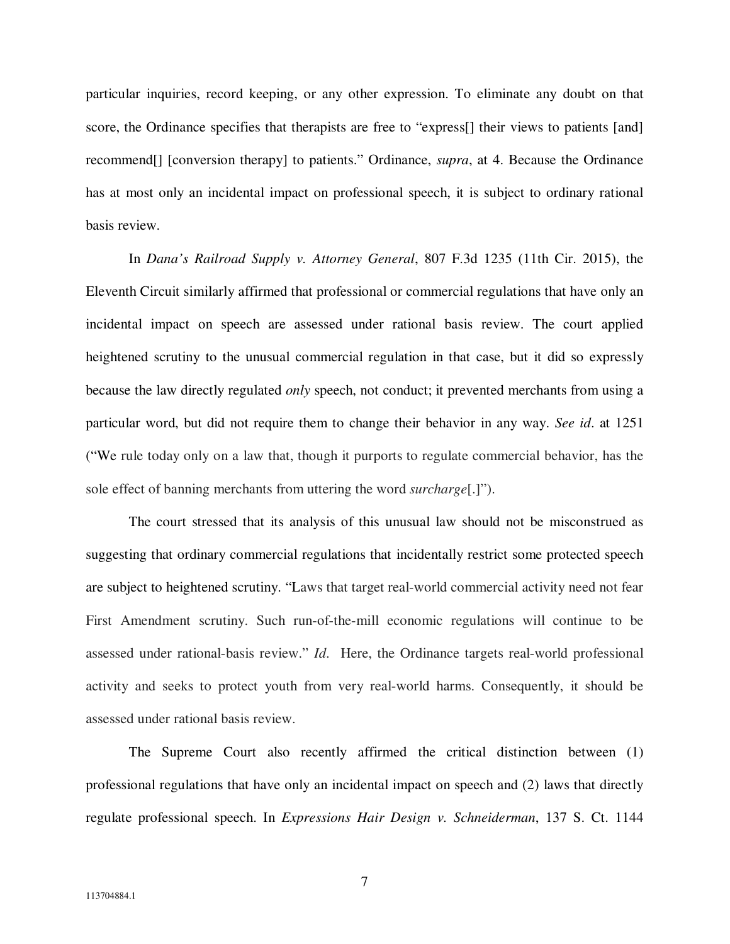particular inquiries, record keeping, or any other expression. To eliminate any doubt on that score, the Ordinance specifies that therapists are free to "express<sup>[]</sup> their views to patients [and] recommend[] [conversion therapy] to patients." Ordinance, *supra*, at 4. Because the Ordinance has at most only an incidental impact on professional speech, it is subject to ordinary rational basis review.

In *Dana's Railroad Supply v. Attorney General*, 807 F.3d 1235 (11th Cir. 2015), the Eleventh Circuit similarly affirmed that professional or commercial regulations that have only an incidental impact on speech are assessed under rational basis review. The court applied heightened scrutiny to the unusual commercial regulation in that case, but it did so expressly because the law directly regulated *only* speech, not conduct; it prevented merchants from using a particular word, but did not require them to change their behavior in any way. *See id*. at 1251 ("We rule today only on a law that, though it purports to regulate commercial behavior, has the sole effect of banning merchants from uttering the word *surcharge*[.]").

The court stressed that its analysis of this unusual law should not be misconstrued as suggesting that ordinary commercial regulations that incidentally restrict some protected speech are subject to heightened scrutiny. "Laws that target real-world commercial activity need not fear First Amendment scrutiny. Such run-of-the-mill economic regulations will continue to be assessed under rational-basis review." *Id*. Here, the Ordinance targets real-world professional activity and seeks to protect youth from very real-world harms. Consequently, it should be assessed under rational basis review.

The Supreme Court also recently affirmed the critical distinction between (1) professional regulations that have only an incidental impact on speech and (2) laws that directly regulate professional speech. In *Expressions Hair Design v. Schneiderman*, 137 S. Ct. 1144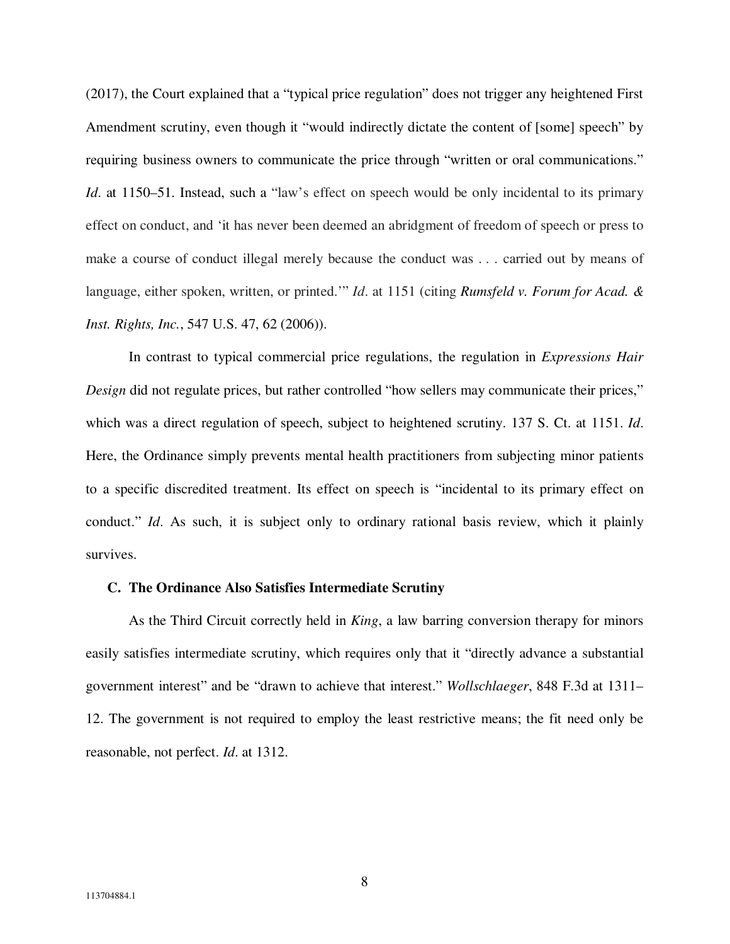(2017), the Court explained that a "typical price regulation" does not trigger any heightened First Amendment scrutiny, even though it "would indirectly dictate the content of [some] speech" by requiring business owners to communicate the price through "written or oral communications." *Id.* at 1150–51. Instead, such a "law's effect on speech would be only incidental to its primary effect on conduct, and 'it has never been deemed an abridgment of freedom of speech or press to make a course of conduct illegal merely because the conduct was . . . carried out by means of language, either spoken, written, or printed.'" *Id*. at 1151 (citing *Rumsfeld v. Forum for Acad. & Inst. Rights, Inc.*, 547 U.S. 47, 62 (2006)).

In contrast to typical commercial price regulations, the regulation in *Expressions Hair Design* did not regulate prices, but rather controlled "how sellers may communicate their prices," which was a direct regulation of speech, subject to heightened scrutiny. 137 S. Ct. at 1151. *Id*. Here, the Ordinance simply prevents mental health practitioners from subjecting minor patients to a specific discredited treatment. Its effect on speech is "incidental to its primary effect on conduct." *Id*. As such, it is subject only to ordinary rational basis review, which it plainly survives.

### **C. The Ordinance Also Satisfies Intermediate Scrutiny**

As the Third Circuit correctly held in *King*, a law barring conversion therapy for minors easily satisfies intermediate scrutiny, which requires only that it "directly advance a substantial government interest" and be "drawn to achieve that interest." *Wollschlaeger*, 848 F.3d at 1311– 12. The government is not required to employ the least restrictive means; the fit need only be reasonable, not perfect. *Id*. at 1312.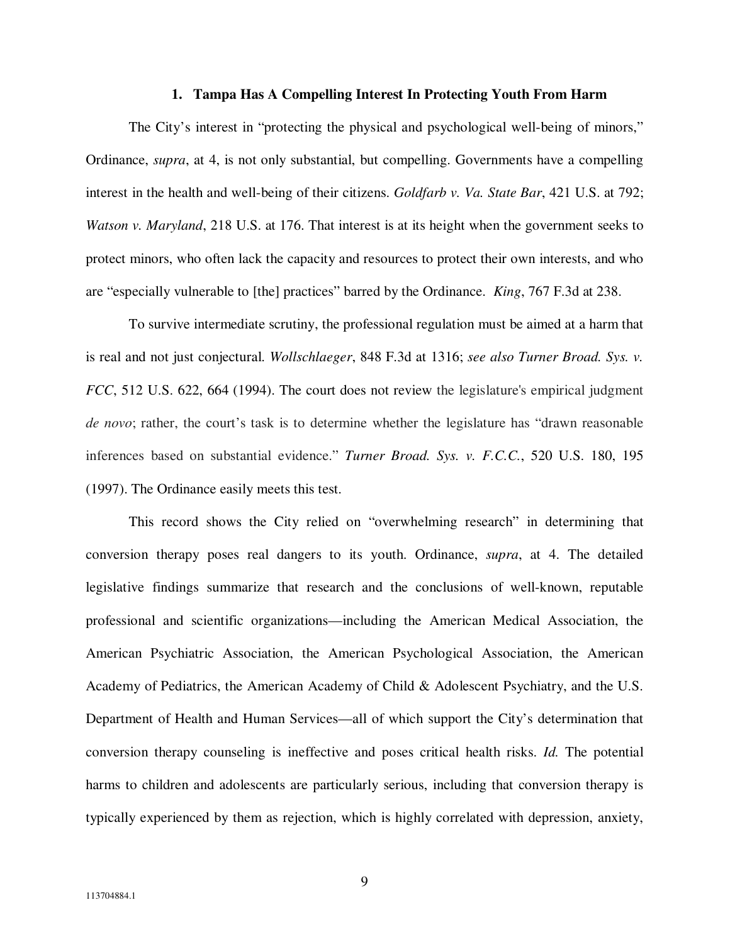### **1. Tampa Has A Compelling Interest In Protecting Youth From Harm**

The City's interest in "protecting the physical and psychological well-being of minors," Ordinance, *supra*, at 4, is not only substantial, but compelling. Governments have a compelling interest in the health and well-being of their citizens. *Goldfarb v. Va. State Bar*, 421 U.S. at 792; *Watson v. Maryland*, 218 U.S. at 176. That interest is at its height when the government seeks to protect minors, who often lack the capacity and resources to protect their own interests, and who are "especially vulnerable to [the] practices" barred by the Ordinance. *King*, 767 F.3d at 238.

To survive intermediate scrutiny, the professional regulation must be aimed at a harm that is real and not just conjectural. *Wollschlaeger*, 848 F.3d at 1316; *see also Turner Broad. Sys. v. FCC*, 512 U.S. 622, 664 (1994). The court does not review the legislature's empirical judgment *de novo*; rather, the court's task is to determine whether the legislature has "drawn reasonable inferences based on substantial evidence." *Turner Broad. Sys. v. F.C.C.*, 520 U.S. 180, 195 (1997). The Ordinance easily meets this test.

This record shows the City relied on "overwhelming research" in determining that conversion therapy poses real dangers to its youth. Ordinance, *supra*, at 4. The detailed legislative findings summarize that research and the conclusions of well-known, reputable professional and scientific organizations—including the American Medical Association, the American Psychiatric Association, the American Psychological Association, the American Academy of Pediatrics, the American Academy of Child & Adolescent Psychiatry, and the U.S. Department of Health and Human Services—all of which support the City's determination that conversion therapy counseling is ineffective and poses critical health risks. *Id.* The potential harms to children and adolescents are particularly serious, including that conversion therapy is typically experienced by them as rejection, which is highly correlated with depression, anxiety,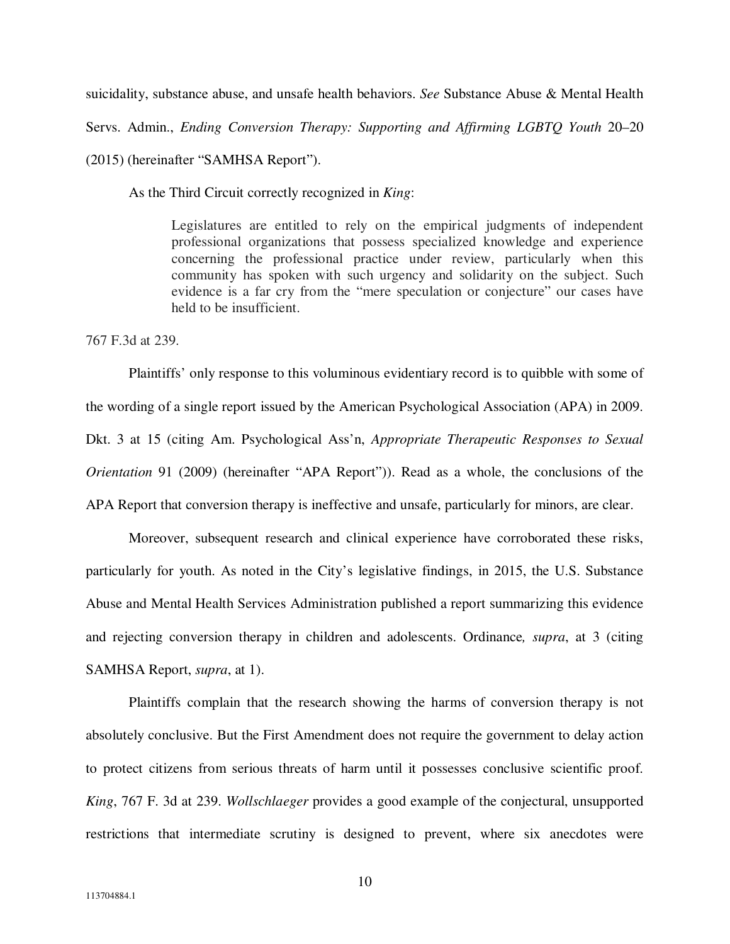suicidality, substance abuse, and unsafe health behaviors. *See* Substance Abuse & Mental Health

Servs. Admin., *Ending Conversion Therapy: Supporting and Affirming LGBTQ Youth* 20–20

(2015) (hereinafter "SAMHSA Report").

As the Third Circuit correctly recognized in *King*:

Legislatures are entitled to rely on the empirical judgments of independent professional organizations that possess specialized knowledge and experience concerning the professional practice under review, particularly when this community has spoken with such urgency and solidarity on the subject. Such evidence is a far cry from the "mere speculation or conjecture" our cases have held to be insufficient.

767 F.3d at 239.

Plaintiffs' only response to this voluminous evidentiary record is to quibble with some of the wording of a single report issued by the American Psychological Association (APA) in 2009. Dkt. 3 at 15 (citing Am. Psychological Ass'n, *Appropriate Therapeutic Responses to Sexual Orientation* 91 (2009) (hereinafter "APA Report")). Read as a whole, the conclusions of the APA Report that conversion therapy is ineffective and unsafe, particularly for minors, are clear.

Moreover, subsequent research and clinical experience have corroborated these risks, particularly for youth. As noted in the City's legislative findings, in 2015, the U.S. Substance Abuse and Mental Health Services Administration published a report summarizing this evidence and rejecting conversion therapy in children and adolescents. Ordinance*, supra*, at 3 (citing SAMHSA Report, *supra*, at 1).

Plaintiffs complain that the research showing the harms of conversion therapy is not absolutely conclusive. But the First Amendment does not require the government to delay action to protect citizens from serious threats of harm until it possesses conclusive scientific proof. *King*, 767 F. 3d at 239. *Wollschlaeger* provides a good example of the conjectural, unsupported restrictions that intermediate scrutiny is designed to prevent, where six anecdotes were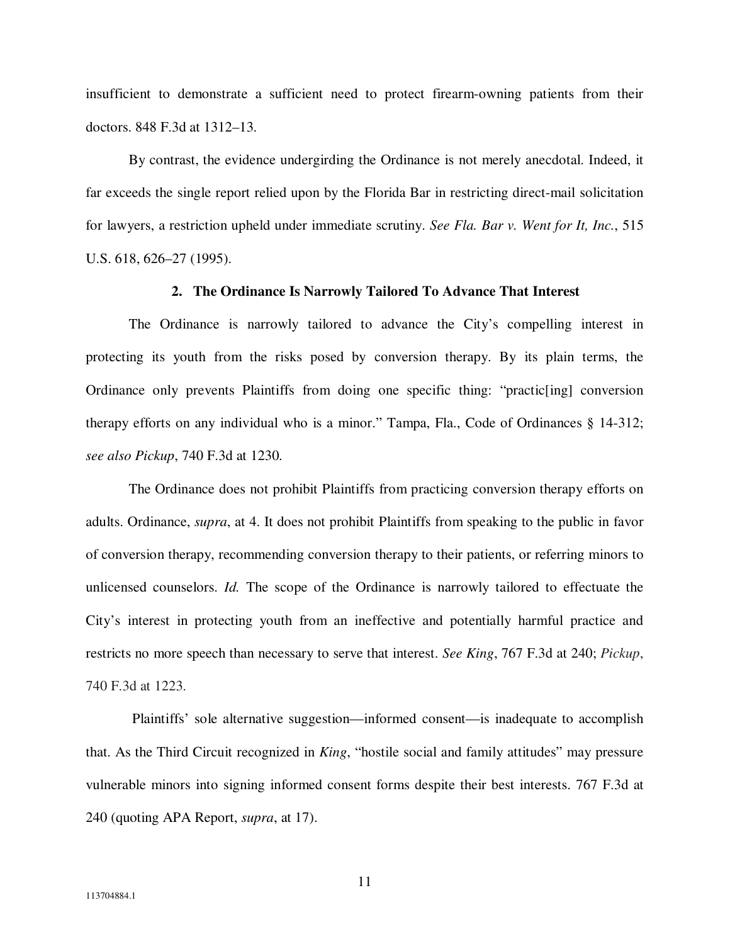insufficient to demonstrate a sufficient need to protect firearm-owning patients from their doctors. 848 F.3d at 1312–13.

By contrast, the evidence undergirding the Ordinance is not merely anecdotal. Indeed, it far exceeds the single report relied upon by the Florida Bar in restricting direct-mail solicitation for lawyers, a restriction upheld under immediate scrutiny. *See Fla. Bar v. Went for It, Inc.*, 515 U.S. 618, 626–27 (1995).

### **2. The Ordinance Is Narrowly Tailored To Advance That Interest**

The Ordinance is narrowly tailored to advance the City's compelling interest in protecting its youth from the risks posed by conversion therapy. By its plain terms, the Ordinance only prevents Plaintiffs from doing one specific thing: "practic[ing] conversion therapy efforts on any individual who is a minor." Tampa, Fla., Code of Ordinances § 14-312; *see also Pickup*, 740 F.3d at 1230.

The Ordinance does not prohibit Plaintiffs from practicing conversion therapy efforts on adults. Ordinance, *supra*, at 4. It does not prohibit Plaintiffs from speaking to the public in favor of conversion therapy, recommending conversion therapy to their patients, or referring minors to unlicensed counselors. *Id.* The scope of the Ordinance is narrowly tailored to effectuate the City's interest in protecting youth from an ineffective and potentially harmful practice and restricts no more speech than necessary to serve that interest. *See King*, 767 F.3d at 240; *Pickup*, 740 F.3d at 1223.

 Plaintiffs' sole alternative suggestion—informed consent—is inadequate to accomplish that. As the Third Circuit recognized in *King*, "hostile social and family attitudes" may pressure vulnerable minors into signing informed consent forms despite their best interests. 767 F.3d at 240 (quoting APA Report, *supra*, at 17).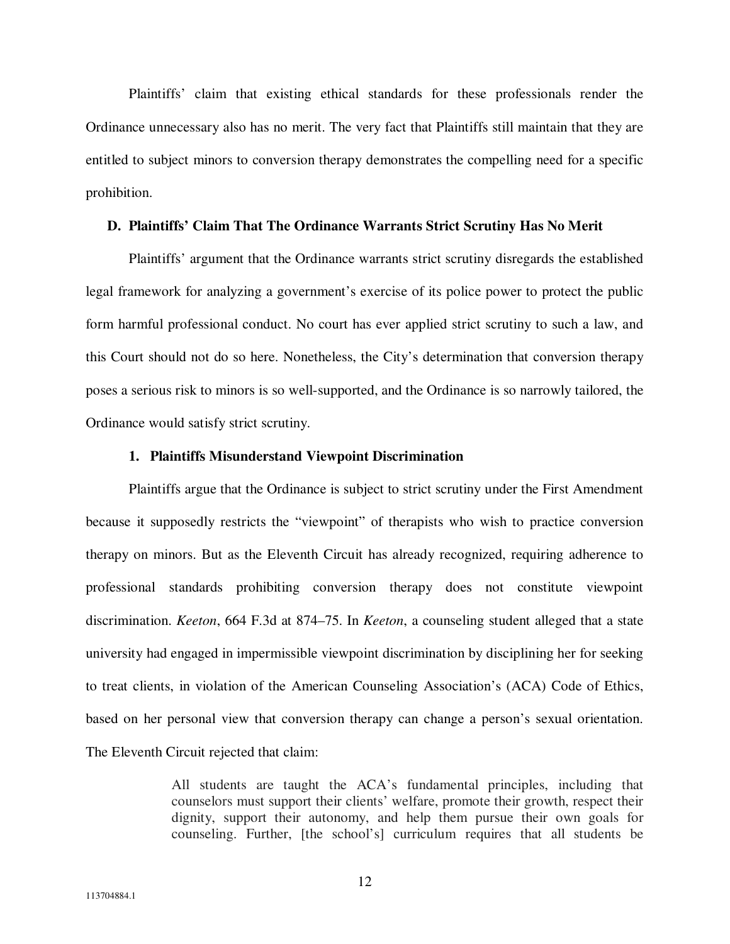Plaintiffs' claim that existing ethical standards for these professionals render the Ordinance unnecessary also has no merit. The very fact that Plaintiffs still maintain that they are entitled to subject minors to conversion therapy demonstrates the compelling need for a specific prohibition.

## **D. Plaintiffs' Claim That The Ordinance Warrants Strict Scrutiny Has No Merit**

Plaintiffs' argument that the Ordinance warrants strict scrutiny disregards the established legal framework for analyzing a government's exercise of its police power to protect the public form harmful professional conduct. No court has ever applied strict scrutiny to such a law, and this Court should not do so here. Nonetheless, the City's determination that conversion therapy poses a serious risk to minors is so well-supported, and the Ordinance is so narrowly tailored, the Ordinance would satisfy strict scrutiny.

#### **1. Plaintiffs Misunderstand Viewpoint Discrimination**

Plaintiffs argue that the Ordinance is subject to strict scrutiny under the First Amendment because it supposedly restricts the "viewpoint" of therapists who wish to practice conversion therapy on minors. But as the Eleventh Circuit has already recognized, requiring adherence to professional standards prohibiting conversion therapy does not constitute viewpoint discrimination. *Keeton*, 664 F.3d at 874–75. In *Keeton*, a counseling student alleged that a state university had engaged in impermissible viewpoint discrimination by disciplining her for seeking to treat clients, in violation of the American Counseling Association's (ACA) Code of Ethics, based on her personal view that conversion therapy can change a person's sexual orientation. The Eleventh Circuit rejected that claim:

> All students are taught the ACA's fundamental principles, including that counselors must support their clients' welfare, promote their growth, respect their dignity, support their autonomy, and help them pursue their own goals for counseling. Further, [the school's] curriculum requires that all students be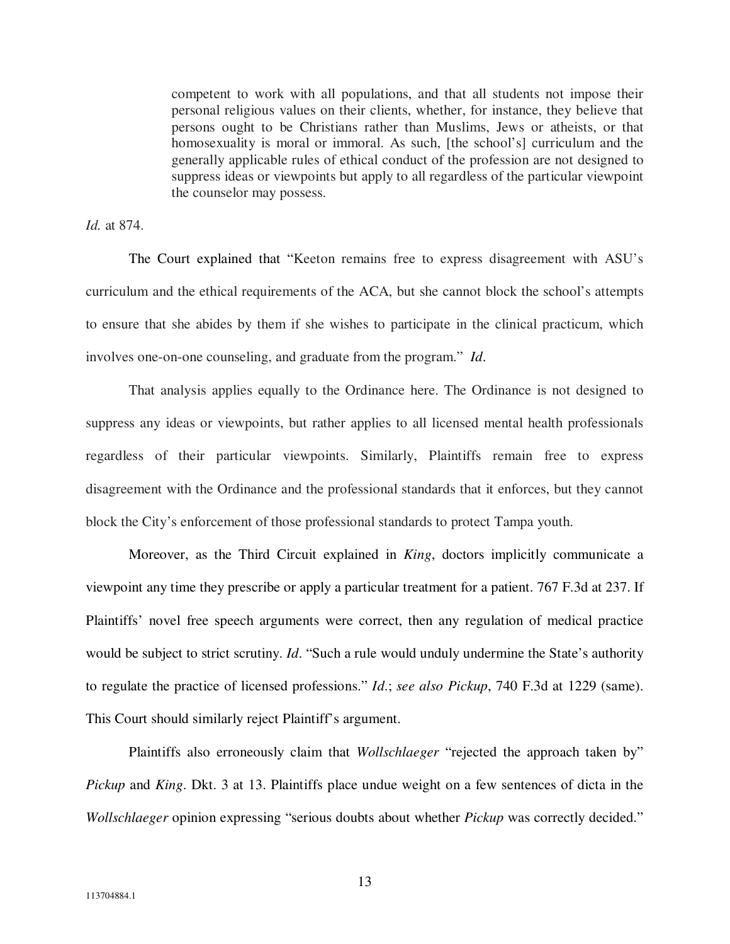competent to work with all populations, and that all students not impose their personal religious values on their clients, whether, for instance, they believe that persons ought to be Christians rather than Muslims, Jews or atheists, or that homosexuality is moral or immoral. As such, [the school's] curriculum and the generally applicable rules of ethical conduct of the profession are not designed to suppress ideas or viewpoints but apply to all regardless of the particular viewpoint the counselor may possess.

*Id.* at 874.

The Court explained that "Keeton remains free to express disagreement with ASU's curriculum and the ethical requirements of the ACA, but she cannot block the school's attempts to ensure that she abides by them if she wishes to participate in the clinical practicum, which involves one-on-one counseling, and graduate from the program." *Id*.

That analysis applies equally to the Ordinance here. The Ordinance is not designed to suppress any ideas or viewpoints, but rather applies to all licensed mental health professionals regardless of their particular viewpoints. Similarly, Plaintiffs remain free to express disagreement with the Ordinance and the professional standards that it enforces, but they cannot block the City's enforcement of those professional standards to protect Tampa youth.

Moreover, as the Third Circuit explained in *King*, doctors implicitly communicate a viewpoint any time they prescribe or apply a particular treatment for a patient. 767 F.3d at 237. If Plaintiffs' novel free speech arguments were correct, then any regulation of medical practice would be subject to strict scrutiny. *Id*. "Such a rule would unduly undermine the State's authority to regulate the practice of licensed professions." *Id*.; *see also Pickup*, 740 F.3d at 1229 (same). This Court should similarly reject Plaintiff's argument.

Plaintiffs also erroneously claim that *Wollschlaeger* "rejected the approach taken by" *Pickup* and *King*. Dkt. 3 at 13. Plaintiffs place undue weight on a few sentences of dicta in the *Wollschlaeger* opinion expressing "serious doubts about whether *Pickup* was correctly decided."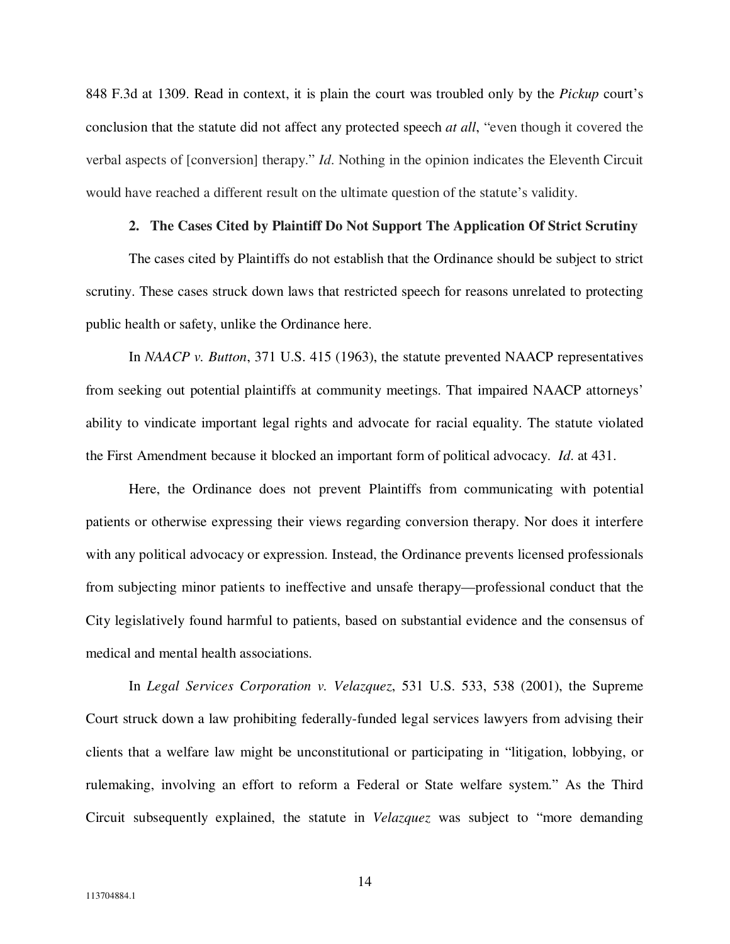848 F.3d at 1309. Read in context, it is plain the court was troubled only by the *Pickup* court's conclusion that the statute did not affect any protected speech *at all*, "even though it covered the verbal aspects of [conversion] therapy." *Id*. Nothing in the opinion indicates the Eleventh Circuit would have reached a different result on the ultimate question of the statute's validity.

## **2. The Cases Cited by Plaintiff Do Not Support The Application Of Strict Scrutiny**

The cases cited by Plaintiffs do not establish that the Ordinance should be subject to strict scrutiny. These cases struck down laws that restricted speech for reasons unrelated to protecting public health or safety, unlike the Ordinance here.

In *NAACP v. Button*, 371 U.S. 415 (1963), the statute prevented NAACP representatives from seeking out potential plaintiffs at community meetings. That impaired NAACP attorneys' ability to vindicate important legal rights and advocate for racial equality. The statute violated the First Amendment because it blocked an important form of political advocacy. *Id*. at 431.

Here, the Ordinance does not prevent Plaintiffs from communicating with potential patients or otherwise expressing their views regarding conversion therapy. Nor does it interfere with any political advocacy or expression. Instead, the Ordinance prevents licensed professionals from subjecting minor patients to ineffective and unsafe therapy—professional conduct that the City legislatively found harmful to patients, based on substantial evidence and the consensus of medical and mental health associations.

In *Legal Services Corporation v. Velazquez*, 531 U.S. 533, 538 (2001), the Supreme Court struck down a law prohibiting federally-funded legal services lawyers from advising their clients that a welfare law might be unconstitutional or participating in "litigation, lobbying, or rulemaking, involving an effort to reform a Federal or State welfare system." As the Third Circuit subsequently explained, the statute in *Velazquez* was subject to "more demanding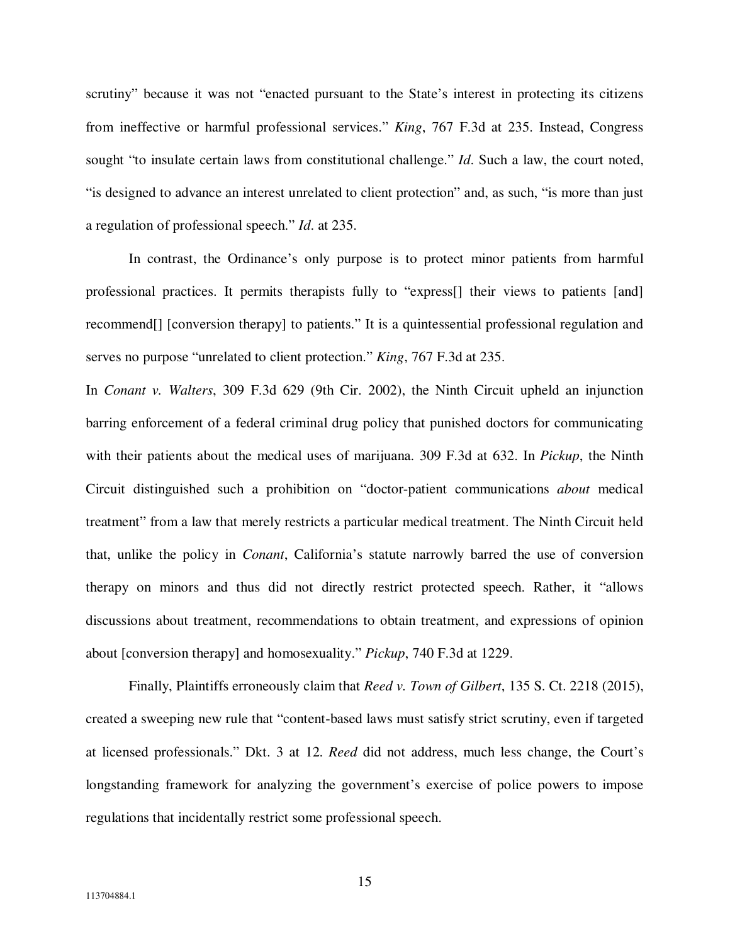scrutiny" because it was not "enacted pursuant to the State's interest in protecting its citizens from ineffective or harmful professional services." *King*, 767 F.3d at 235. Instead, Congress sought "to insulate certain laws from constitutional challenge." *Id*. Such a law, the court noted, "is designed to advance an interest unrelated to client protection" and, as such, "is more than just a regulation of professional speech." *Id*. at 235.

In contrast, the Ordinance's only purpose is to protect minor patients from harmful professional practices. It permits therapists fully to "express[] their views to patients [and] recommend[] [conversion therapy] to patients." It is a quintessential professional regulation and serves no purpose "unrelated to client protection." *King*, 767 F.3d at 235.

In *Conant v. Walters*, 309 F.3d 629 (9th Cir. 2002), the Ninth Circuit upheld an injunction barring enforcement of a federal criminal drug policy that punished doctors for communicating with their patients about the medical uses of marijuana. 309 F.3d at 632. In *Pickup*, the Ninth Circuit distinguished such a prohibition on "doctor-patient communications *about* medical treatment" from a law that merely restricts a particular medical treatment. The Ninth Circuit held that, unlike the policy in *Conant*, California's statute narrowly barred the use of conversion therapy on minors and thus did not directly restrict protected speech. Rather, it "allows discussions about treatment, recommendations to obtain treatment, and expressions of opinion about [conversion therapy] and homosexuality." *Pickup*, 740 F.3d at 1229.

Finally, Plaintiffs erroneously claim that *Reed v. Town of Gilbert*, 135 S. Ct. 2218 (2015), created a sweeping new rule that "content-based laws must satisfy strict scrutiny, even if targeted at licensed professionals." Dkt. 3 at 12. *Reed* did not address, much less change, the Court's longstanding framework for analyzing the government's exercise of police powers to impose regulations that incidentally restrict some professional speech.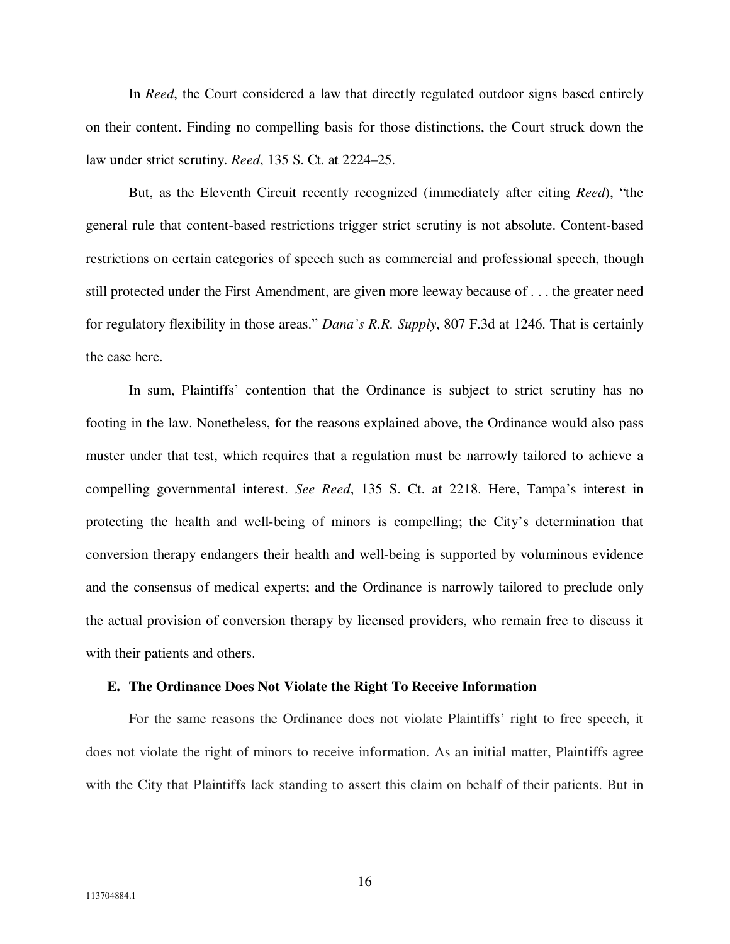In *Reed*, the Court considered a law that directly regulated outdoor signs based entirely on their content. Finding no compelling basis for those distinctions, the Court struck down the law under strict scrutiny. *Reed*, 135 S. Ct. at 2224–25.

But, as the Eleventh Circuit recently recognized (immediately after citing *Reed*), "the general rule that content-based restrictions trigger strict scrutiny is not absolute. Content-based restrictions on certain categories of speech such as commercial and professional speech, though still protected under the First Amendment, are given more leeway because of . . . the greater need for regulatory flexibility in those areas." *Dana's R.R. Supply*, 807 F.3d at 1246. That is certainly the case here.

In sum, Plaintiffs' contention that the Ordinance is subject to strict scrutiny has no footing in the law. Nonetheless, for the reasons explained above, the Ordinance would also pass muster under that test, which requires that a regulation must be narrowly tailored to achieve a compelling governmental interest. *See Reed*, 135 S. Ct. at 2218. Here, Tampa's interest in protecting the health and well-being of minors is compelling; the City's determination that conversion therapy endangers their health and well-being is supported by voluminous evidence and the consensus of medical experts; and the Ordinance is narrowly tailored to preclude only the actual provision of conversion therapy by licensed providers, who remain free to discuss it with their patients and others.

#### **E. The Ordinance Does Not Violate the Right To Receive Information**

For the same reasons the Ordinance does not violate Plaintiffs' right to free speech, it does not violate the right of minors to receive information. As an initial matter, Plaintiffs agree with the City that Plaintiffs lack standing to assert this claim on behalf of their patients. But in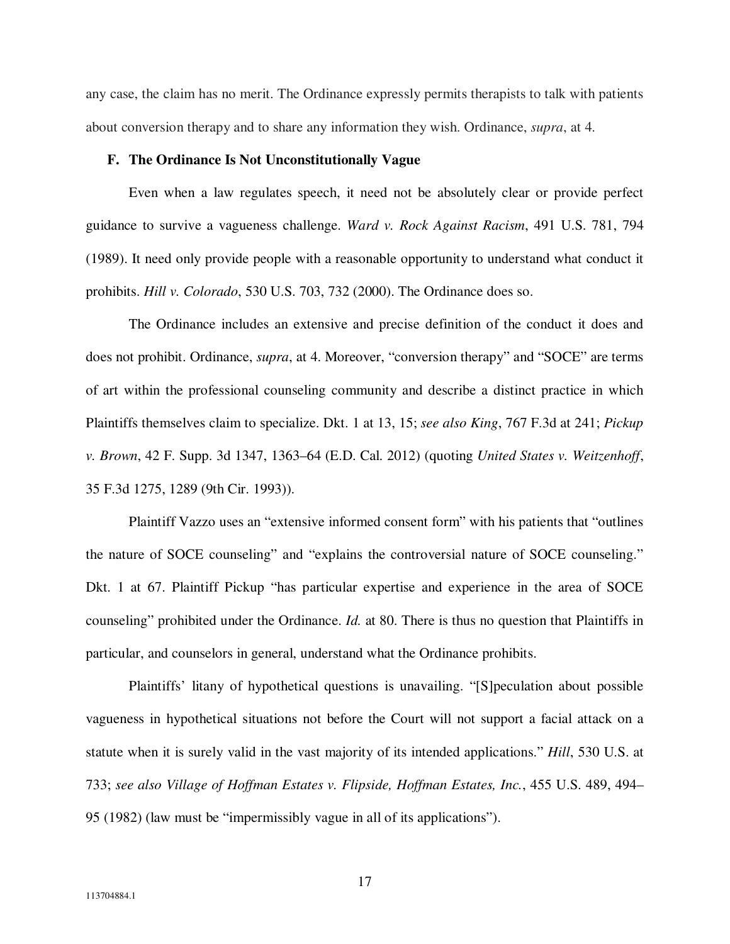any case, the claim has no merit. The Ordinance expressly permits therapists to talk with patients about conversion therapy and to share any information they wish. Ordinance, *supra*, at 4.

## **F. The Ordinance Is Not Unconstitutionally Vague**

Even when a law regulates speech, it need not be absolutely clear or provide perfect guidance to survive a vagueness challenge. *Ward v. Rock Against Racism*, 491 U.S. 781, 794 (1989). It need only provide people with a reasonable opportunity to understand what conduct it prohibits. *Hill v. Colorado*, 530 U.S. 703, 732 (2000). The Ordinance does so.

The Ordinance includes an extensive and precise definition of the conduct it does and does not prohibit. Ordinance, *supra*, at 4. Moreover, "conversion therapy" and "SOCE" are terms of art within the professional counseling community and describe a distinct practice in which Plaintiffs themselves claim to specialize. Dkt. 1 at 13, 15; *see also King*, 767 F.3d at 241; *Pickup v. Brown*, 42 F. Supp. 3d 1347, 1363–64 (E.D. Cal. 2012) (quoting *United States v. Weitzenhoff*, 35 F.3d 1275, 1289 (9th Cir. 1993)).

Plaintiff Vazzo uses an "extensive informed consent form" with his patients that "outlines the nature of SOCE counseling" and "explains the controversial nature of SOCE counseling." Dkt. 1 at 67. Plaintiff Pickup "has particular expertise and experience in the area of SOCE counseling" prohibited under the Ordinance. *Id.* at 80. There is thus no question that Plaintiffs in particular, and counselors in general, understand what the Ordinance prohibits.

Plaintiffs' litany of hypothetical questions is unavailing. "[S]peculation about possible vagueness in hypothetical situations not before the Court will not support a facial attack on a statute when it is surely valid in the vast majority of its intended applications." *Hill*, 530 U.S. at 733; *see also Village of Hoffman Estates v. Flipside, Hoffman Estates, Inc.*, 455 U.S. 489, 494– 95 (1982) (law must be "impermissibly vague in all of its applications").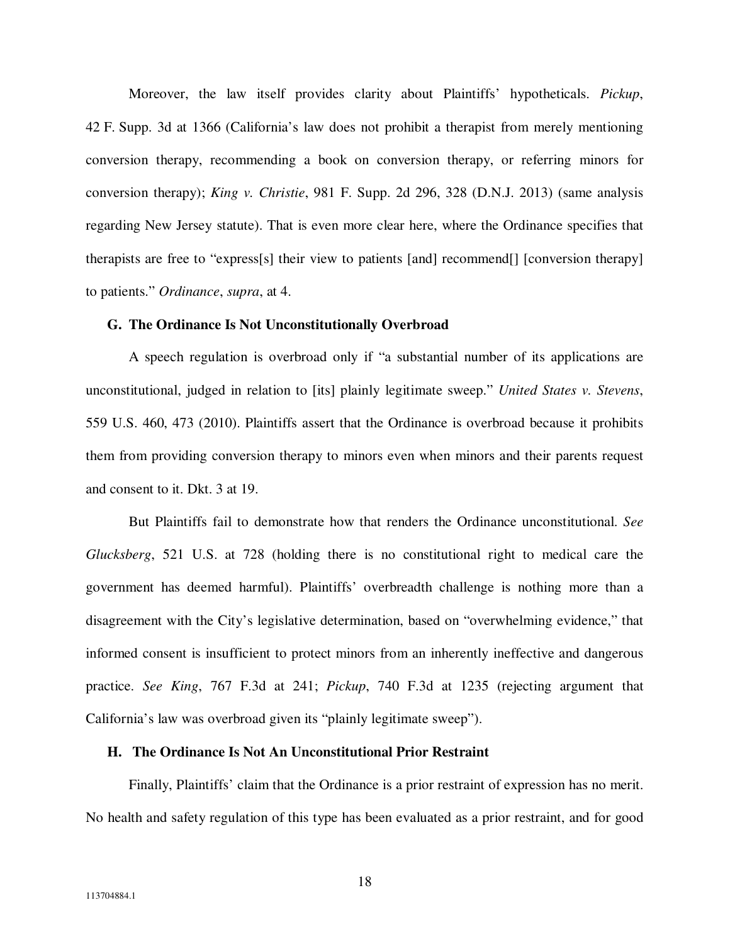Moreover, the law itself provides clarity about Plaintiffs' hypotheticals. *Pickup*, 42 F. Supp. 3d at 1366 (California's law does not prohibit a therapist from merely mentioning conversion therapy, recommending a book on conversion therapy, or referring minors for conversion therapy); *King v. Christie*, 981 F. Supp. 2d 296, 328 (D.N.J. 2013) (same analysis regarding New Jersey statute). That is even more clear here, where the Ordinance specifies that therapists are free to "express[s] their view to patients [and] recommend[] [conversion therapy] to patients." *Ordinance*, *supra*, at 4.

### **G. The Ordinance Is Not Unconstitutionally Overbroad**

A speech regulation is overbroad only if "a substantial number of its applications are unconstitutional, judged in relation to [its] plainly legitimate sweep." *United States v. Stevens*, 559 U.S. 460, 473 (2010). Plaintiffs assert that the Ordinance is overbroad because it prohibits them from providing conversion therapy to minors even when minors and their parents request and consent to it. Dkt. 3 at 19.

But Plaintiffs fail to demonstrate how that renders the Ordinance unconstitutional. *See Glucksberg*, 521 U.S. at 728 (holding there is no constitutional right to medical care the government has deemed harmful). Plaintiffs' overbreadth challenge is nothing more than a disagreement with the City's legislative determination, based on "overwhelming evidence," that informed consent is insufficient to protect minors from an inherently ineffective and dangerous practice. *See King*, 767 F.3d at 241; *Pickup*, 740 F.3d at 1235 (rejecting argument that California's law was overbroad given its "plainly legitimate sweep").

## **H. The Ordinance Is Not An Unconstitutional Prior Restraint**

Finally, Plaintiffs' claim that the Ordinance is a prior restraint of expression has no merit. No health and safety regulation of this type has been evaluated as a prior restraint, and for good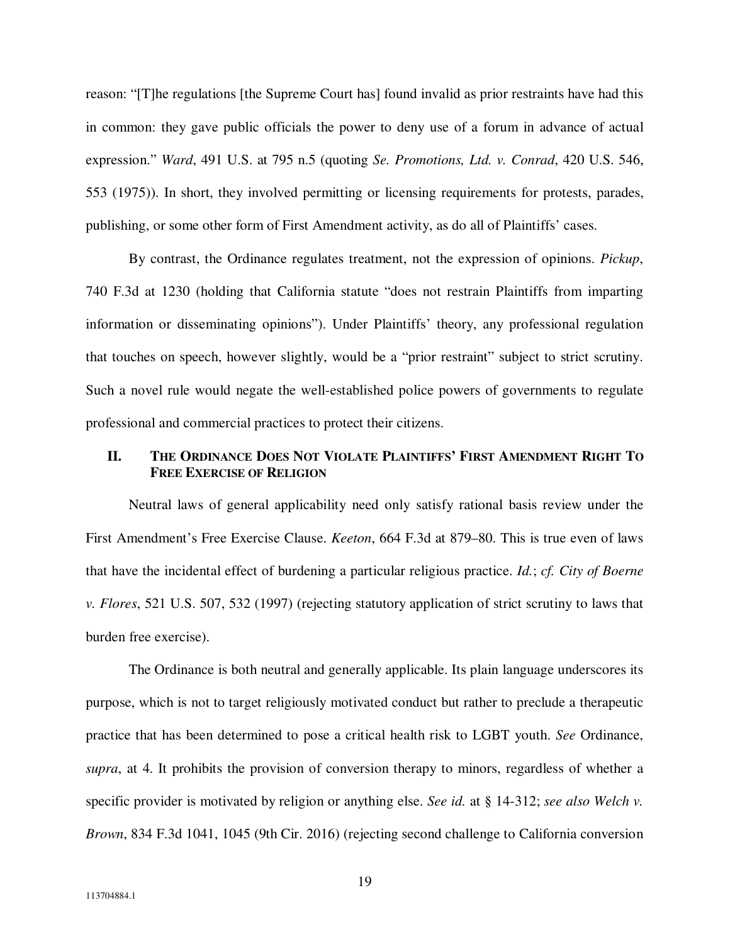reason: "[T]he regulations [the Supreme Court has] found invalid as prior restraints have had this in common: they gave public officials the power to deny use of a forum in advance of actual expression." *Ward*, 491 U.S. at 795 n.5 (quoting *Se. Promotions, Ltd. v. Conrad*, 420 U.S. 546, 553 (1975)). In short, they involved permitting or licensing requirements for protests, parades, publishing, or some other form of First Amendment activity, as do all of Plaintiffs' cases.

By contrast, the Ordinance regulates treatment, not the expression of opinions. *Pickup*, 740 F.3d at 1230 (holding that California statute "does not restrain Plaintiffs from imparting information or disseminating opinions"). Under Plaintiffs' theory, any professional regulation that touches on speech, however slightly, would be a "prior restraint" subject to strict scrutiny. Such a novel rule would negate the well-established police powers of governments to regulate professional and commercial practices to protect their citizens.

# II. THE ORDINANCE DOES NOT VIOLATE PLAINTIFFS' FIRST AMENDMENT RIGHT TO **FREE EXERCISE OF RELIGION**

Neutral laws of general applicability need only satisfy rational basis review under the First Amendment's Free Exercise Clause. *Keeton*, 664 F.3d at 879–80. This is true even of laws that have the incidental effect of burdening a particular religious practice. *Id.*; *cf. City of Boerne v. Flores*, 521 U.S. 507, 532 (1997) (rejecting statutory application of strict scrutiny to laws that burden free exercise).

The Ordinance is both neutral and generally applicable. Its plain language underscores its purpose, which is not to target religiously motivated conduct but rather to preclude a therapeutic practice that has been determined to pose a critical health risk to LGBT youth. *See* Ordinance, *supra*, at 4. It prohibits the provision of conversion therapy to minors, regardless of whether a specific provider is motivated by religion or anything else. *See id.* at § 14-312; *see also Welch v. Brown*, 834 F.3d 1041, 1045 (9th Cir. 2016) (rejecting second challenge to California conversion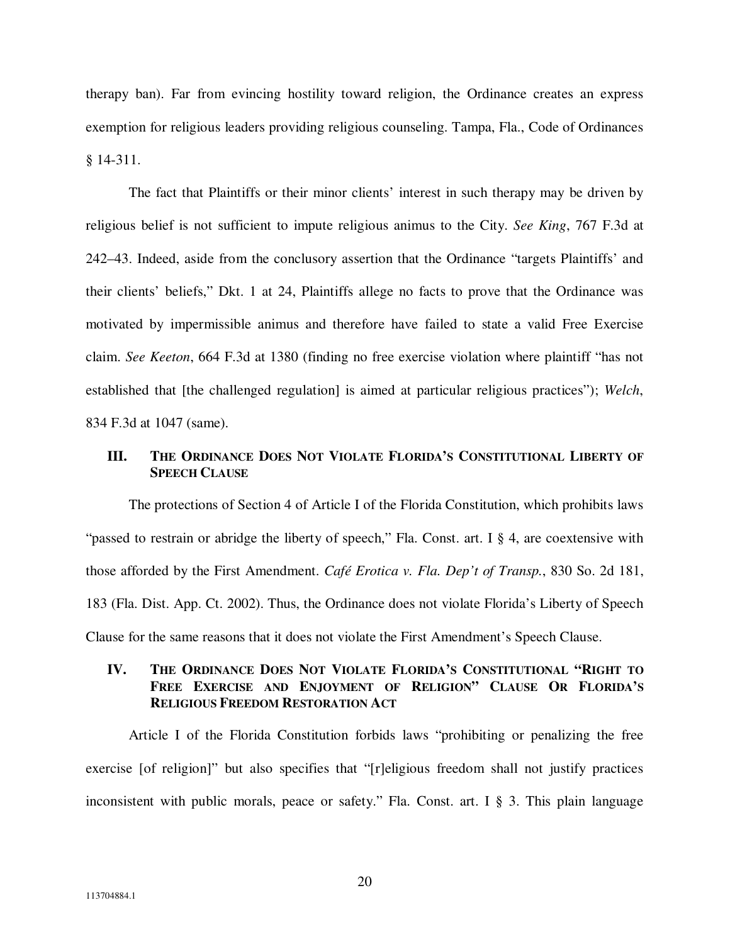therapy ban). Far from evincing hostility toward religion, the Ordinance creates an express exemption for religious leaders providing religious counseling. Tampa, Fla., Code of Ordinances § 14-311.

The fact that Plaintiffs or their minor clients' interest in such therapy may be driven by religious belief is not sufficient to impute religious animus to the City. *See King*, 767 F.3d at 242–43. Indeed, aside from the conclusory assertion that the Ordinance "targets Plaintiffs' and their clients' beliefs," Dkt. 1 at 24, Plaintiffs allege no facts to prove that the Ordinance was motivated by impermissible animus and therefore have failed to state a valid Free Exercise claim. *See Keeton*, 664 F.3d at 1380 (finding no free exercise violation where plaintiff "has not established that [the challenged regulation] is aimed at particular religious practices"); *Welch*, 834 F.3d at 1047 (same).

## **III. THE ORDINANCE DOES NOT VIOLATE FLORIDA'S CONSTITUTIONAL LIBERTY OF SPEECH CLAUSE**

 The protections of Section 4 of Article I of the Florida Constitution, which prohibits laws "passed to restrain or abridge the liberty of speech," Fla. Const. art. I § 4, are coextensive with those afforded by the First Amendment. *Café Erotica v. Fla. Dep't of Transp.*, 830 So. 2d 181, 183 (Fla. Dist. App. Ct. 2002). Thus, the Ordinance does not violate Florida's Liberty of Speech Clause for the same reasons that it does not violate the First Amendment's Speech Clause.

## **IV. THE ORDINANCE DOES NOT VIOLATE FLORIDA'S CONSTITUTIONAL "RIGHT TO FREE EXERCISE AND ENJOYMENT OF RELIGION" CLAUSE OR FLORIDA'S RELIGIOUS FREEDOM RESTORATION ACT**

Article I of the Florida Constitution forbids laws "prohibiting or penalizing the free exercise [of religion]" but also specifies that "[r]eligious freedom shall not justify practices inconsistent with public morals, peace or safety." Fla. Const. art. I § 3. This plain language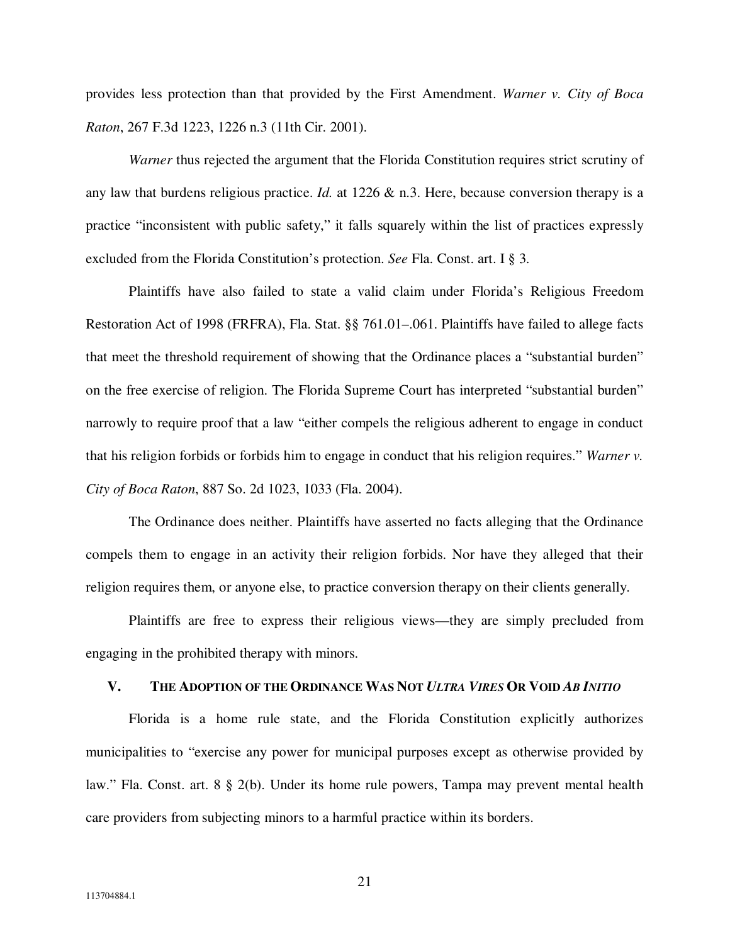provides less protection than that provided by the First Amendment. *Warner v. City of Boca Raton*, 267 F.3d 1223, 1226 n.3 (11th Cir. 2001).

*Warner* thus rejected the argument that the Florida Constitution requires strict scrutiny of any law that burdens religious practice. *Id.* at 1226 & n.3. Here, because conversion therapy is a practice "inconsistent with public safety," it falls squarely within the list of practices expressly excluded from the Florida Constitution's protection. *See* Fla. Const. art. I § 3.

Plaintiffs have also failed to state a valid claim under Florida's Religious Freedom Restoration Act of 1998 (FRFRA), Fla. Stat. §§ 761.01–.061. Plaintiffs have failed to allege facts that meet the threshold requirement of showing that the Ordinance places a "substantial burden" on the free exercise of religion. The Florida Supreme Court has interpreted "substantial burden" narrowly to require proof that a law "either compels the religious adherent to engage in conduct that his religion forbids or forbids him to engage in conduct that his religion requires." *Warner v. City of Boca Raton*, 887 So. 2d 1023, 1033 (Fla. 2004).

The Ordinance does neither. Plaintiffs have asserted no facts alleging that the Ordinance compels them to engage in an activity their religion forbids. Nor have they alleged that their religion requires them, or anyone else, to practice conversion therapy on their clients generally.

Plaintiffs are free to express their religious views—they are simply precluded from engaging in the prohibited therapy with minors.

## V. THE ADOPTION OF THE ORDINANCE WAS NOT ULTRA VIRES OR VOID AB INITIO

Florida is a home rule state, and the Florida Constitution explicitly authorizes municipalities to "exercise any power for municipal purposes except as otherwise provided by law." Fla. Const. art. 8 § 2(b). Under its home rule powers, Tampa may prevent mental health care providers from subjecting minors to a harmful practice within its borders.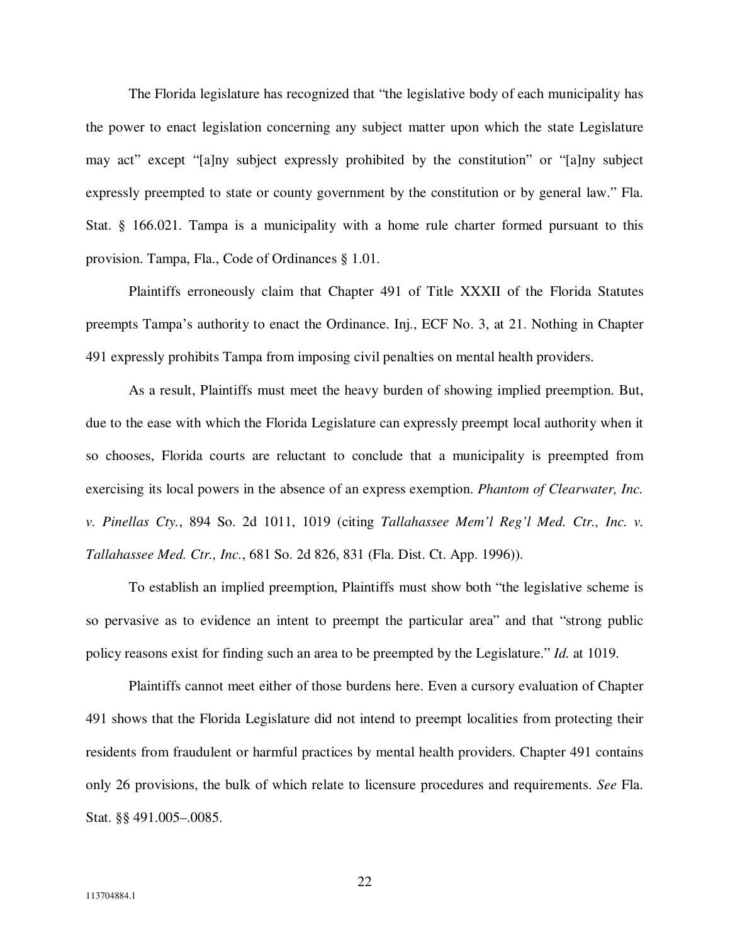The Florida legislature has recognized that "the legislative body of each municipality has the power to enact legislation concerning any subject matter upon which the state Legislature may act" except "[a]ny subject expressly prohibited by the constitution" or "[a]ny subject expressly preempted to state or county government by the constitution or by general law." Fla. Stat. § 166.021. Tampa is a municipality with a home rule charter formed pursuant to this provision. Tampa, Fla., Code of Ordinances § 1.01.

Plaintiffs erroneously claim that Chapter 491 of Title XXXII of the Florida Statutes preempts Tampa's authority to enact the Ordinance. Inj., ECF No. 3, at 21. Nothing in Chapter 491 expressly prohibits Tampa from imposing civil penalties on mental health providers.

As a result, Plaintiffs must meet the heavy burden of showing implied preemption. But, due to the ease with which the Florida Legislature can expressly preempt local authority when it so chooses, Florida courts are reluctant to conclude that a municipality is preempted from exercising its local powers in the absence of an express exemption. *Phantom of Clearwater, Inc. v. Pinellas Cty.*, 894 So. 2d 1011, 1019 (citing *Tallahassee Mem'l Reg'l Med. Ctr., Inc. v. Tallahassee Med. Ctr., Inc.*, 681 So. 2d 826, 831 (Fla. Dist. Ct. App. 1996)).

To establish an implied preemption, Plaintiffs must show both "the legislative scheme is so pervasive as to evidence an intent to preempt the particular area" and that "strong public policy reasons exist for finding such an area to be preempted by the Legislature." *Id.* at 1019.

Plaintiffs cannot meet either of those burdens here. Even a cursory evaluation of Chapter 491 shows that the Florida Legislature did not intend to preempt localities from protecting their residents from fraudulent or harmful practices by mental health providers. Chapter 491 contains only 26 provisions, the bulk of which relate to licensure procedures and requirements. *See* Fla. Stat. §§ 491.005–.0085.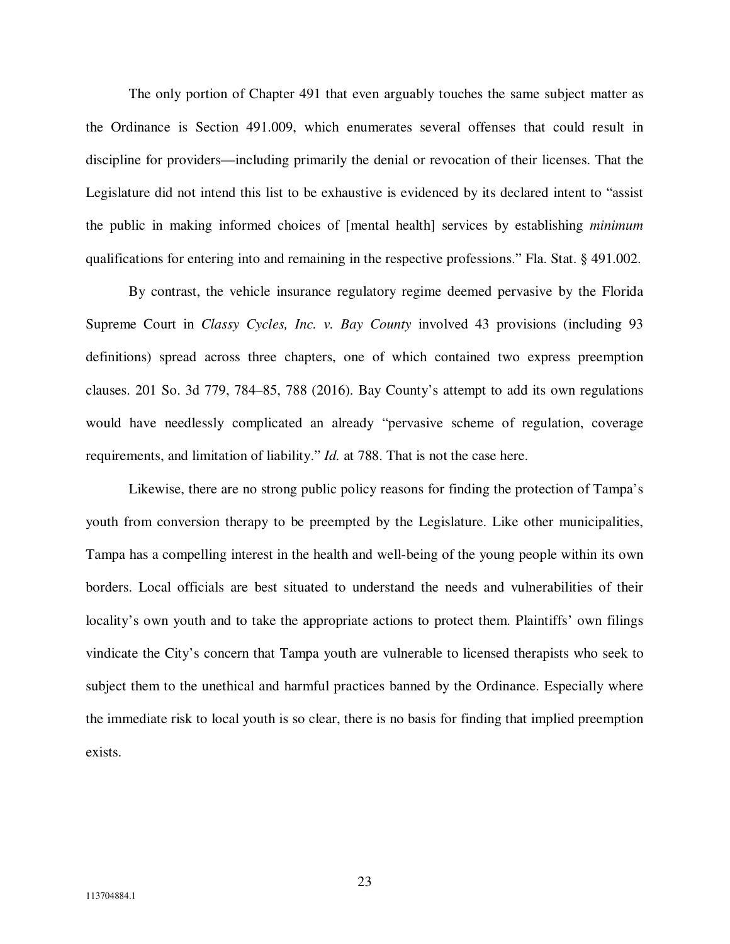The only portion of Chapter 491 that even arguably touches the same subject matter as the Ordinance is Section 491.009, which enumerates several offenses that could result in discipline for providers—including primarily the denial or revocation of their licenses. That the Legislature did not intend this list to be exhaustive is evidenced by its declared intent to "assist the public in making informed choices of [mental health] services by establishing *minimum* qualifications for entering into and remaining in the respective professions." Fla. Stat. § 491.002.

By contrast, the vehicle insurance regulatory regime deemed pervasive by the Florida Supreme Court in *Classy Cycles, Inc. v. Bay County* involved 43 provisions (including 93 definitions) spread across three chapters, one of which contained two express preemption clauses. 201 So. 3d 779, 784–85, 788 (2016). Bay County's attempt to add its own regulations would have needlessly complicated an already "pervasive scheme of regulation, coverage requirements, and limitation of liability." *Id.* at 788. That is not the case here.

Likewise, there are no strong public policy reasons for finding the protection of Tampa's youth from conversion therapy to be preempted by the Legislature. Like other municipalities, Tampa has a compelling interest in the health and well-being of the young people within its own borders. Local officials are best situated to understand the needs and vulnerabilities of their locality's own youth and to take the appropriate actions to protect them. Plaintiffs' own filings vindicate the City's concern that Tampa youth are vulnerable to licensed therapists who seek to subject them to the unethical and harmful practices banned by the Ordinance. Especially where the immediate risk to local youth is so clear, there is no basis for finding that implied preemption exists.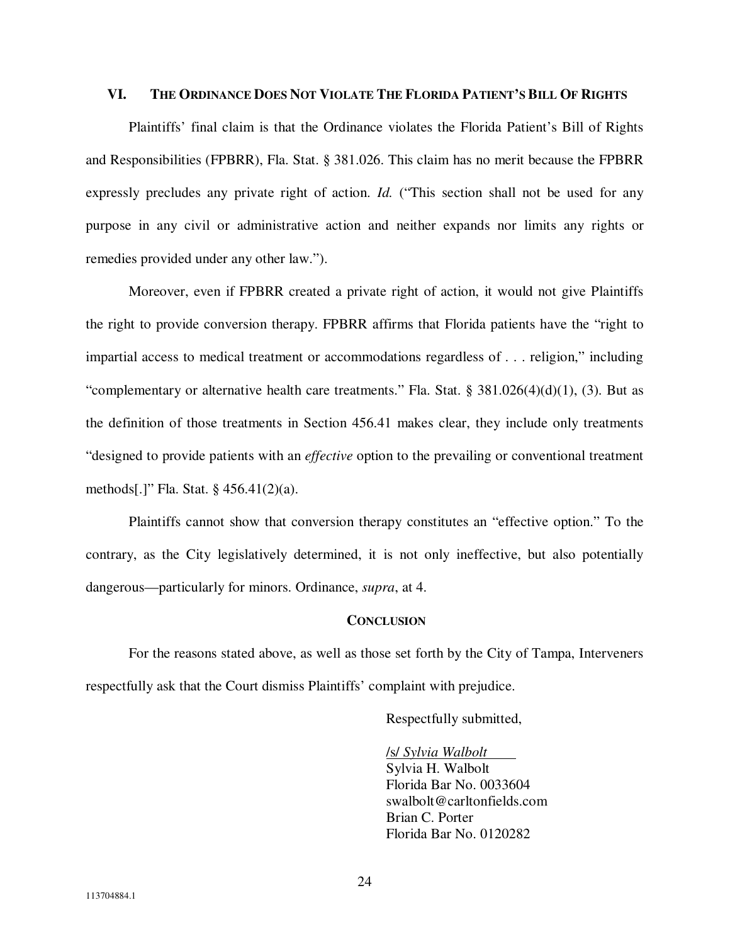## VI. THE ORDINANCE DOES NOT VIOLATE THE FLORIDA PATIENT'S BILL OF RIGHTS

Plaintiffs' final claim is that the Ordinance violates the Florida Patient's Bill of Rights and Responsibilities (FPBRR), Fla. Stat. § 381.026. This claim has no merit because the FPBRR expressly precludes any private right of action. *Id.* ("This section shall not be used for any purpose in any civil or administrative action and neither expands nor limits any rights or remedies provided under any other law.").

Moreover, even if FPBRR created a private right of action, it would not give Plaintiffs the right to provide conversion therapy. FPBRR affirms that Florida patients have the "right to impartial access to medical treatment or accommodations regardless of . . . religion," including "complementary or alternative health care treatments." Fla. Stat. § 381.026(4)(d)(1), (3). But as the definition of those treatments in Section 456.41 makes clear, they include only treatments "designed to provide patients with an *effective* option to the prevailing or conventional treatment methods[.]" Fla. Stat. § 456.41(2)(a).

Plaintiffs cannot show that conversion therapy constitutes an "effective option." To the contrary, as the City legislatively determined, it is not only ineffective, but also potentially dangerous—particularly for minors. Ordinance, *supra*, at 4.

## **CONCLUSION**

 For the reasons stated above, as well as those set forth by the City of Tampa, Interveners respectfully ask that the Court dismiss Plaintiffs' complaint with prejudice.

Respectfully submitted,

 /s/ *Sylvia Walbolt*  Sylvia H. Walbolt Florida Bar No. 0033604 swalbolt@carltonfields.com Brian C. Porter Florida Bar No. 0120282